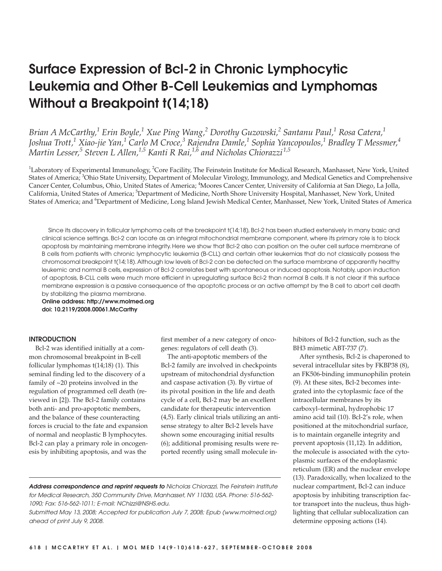# Surface Expression of Bcl-2 in Chronic Lymphocytic Leukemia and Other B-Cell Leukemias and Lymphomas Without a Breakpoint t(14;18)

*Brian A McCarthy,<sup>1</sup> Erin Boyle,<sup>1</sup> Xue Ping Wang,<sup>2</sup> Dorothy Guzowski,<sup>2</sup> Santanu Paul,<sup>1</sup> Rosa Catera,<sup>1</sup> Joshua Trott,<sup>1</sup> Xiao-jie Yan,<sup>1</sup> Carlo M Croce,<sup>3</sup> Rajendra Damle,<sup>1</sup> Sophia Yancopoulos,<sup>1</sup> Bradley T Messmer,<sup>4</sup> Martin Lesser,<sup>5</sup> Steven L Allen,1,5 Kanti R Rai,1,6 and Nicholas Chiorazzi 1,5*

 ${}^{1}$ Laboratory of Experimental Immunology,  ${}^{2}$ Core Facility, The Feinstein Institute for Medical Research, Manhasset, New York, United States of America; <sup>3</sup>Ohio State University, Department of Molecular Virology, Immunology, and Medical Genetics and Comprehensive Cancer Center, Columbus, Ohio, United States of America; <sup>4</sup>Moores Cancer Center, University of California at San Diego, La Jolla, California, United States of America; <sup>5</sup>Department of Medicine, North Shore University Hospital, Manhasset, New York, United States of America; and <sup>6</sup>Department of Medicine, Long Island Jewish Medical Center, Manhasset, New York, United States of America

Since its discovery in follicular lymphoma cells at the breakpoint t(14;18), Bcl-2 has been studied extensively in many basic and clinical science settings. Bcl-2 can locate as an integral mitochondrial membrane component, where its primary role is to block apoptosis by maintaining membrane integrity. Here we show that Bcl-2 also can position on the outer cell surface membrane of B cells from patients with chronic lymphocytic leukemia (B-CLL) and certain other leukemias that do not classically possess the chromosomal breakpoint t(14;18).Although low levels of Bcl-2 can be detected on the surface membrane of apparently healthy leukemic and normal B cells, expression of Bcl-2 correlates best with spontaneous or induced apoptosis. Notably, upon induction of apoptosis, B-CLL cells were much more efficient in upregulating surface Bcl-2 than normal B cells. It is not clear if this surface membrane expression is a passive consequence of the apoptotic process or an active attempt by the B cell to abort cell death by stabilizing the plasma membrane.

Online address: http://www.molmed.org doi: 10.2119/2008.00061.McCarthy

## INTRODUCTION

Bcl-2 was identified initially at a common chromosomal breakpoint in B-cell follicular lymphomas t(14;18) (1). This seminal finding led to the discovery of a family of ~20 proteins involved in the regulation of programmed cell death (reviewed in [2]). The Bcl-2 family contains both anti- and pro-apoptotic members, and the balance of these counteracting forces is crucial to the fate and expansion of normal and neoplastic B lymphocytes. Bcl-2 can play a primary role in oncogenesis by inhibiting apoptosis, and was the

first member of a new category of oncogenes: regulators of cell death (3).

The anti-apoptotic members of the Bcl-2 family are involved in checkpoints upstream of mitochondrial dysfunction and caspase activation (3). By virtue of its pivotal position in the life and death cycle of a cell, Bcl-2 may be an excellent candidate for therapeutic intervention (4,5). Early clinical trials utilizing an antisense strategy to alter Bcl-2 levels have shown some encouraging initial results (6); additional promising results were reported recently using small molecule in-

Address correspondence and reprint requests to Nicholas Chiorazzi, The Feinstein Institute for Medical Research, 350 Community Drive, Manhasset, NY 11030, USA. Phone: 516-562- 1090; Fax: 516-562-1011; E-mail: NChizzi@NSHS.edu.

Submitted May 13, 2008; Accepted for publication July 7, 2008; Epub (www.molmed.org) ahead of print July 9, 2008.

hibitors of Bcl-2 function, such as the BH3 mimetic ABT-737 (7).

After synthesis, Bcl-2 is chaperoned to several intracellular sites by FKBP38 (8), an FK506-binding immunophilin protein (9). At these sites, Bcl-2 becomes integrated into the cytoplasmic face of the intracellular membranes by its carboxyl–terminal, hydrophobic 17 amino acid tail (10). Bcl-2's role, when positioned at the mitochondrial surface, is to maintain organelle integrity and prevent apoptosis (11,12). In addition, the molecule is associated with the cytoplasmic surfaces of the endoplasmic reticulum (ER) and the nuclear envelope (13). Paradoxically, when localized to the nuclear compartment, Bcl-2 can induce apoptosis by inhibiting transcription factor transport into the nucleus, thus highlighting that cellular sublocalization can determine opposing actions (14).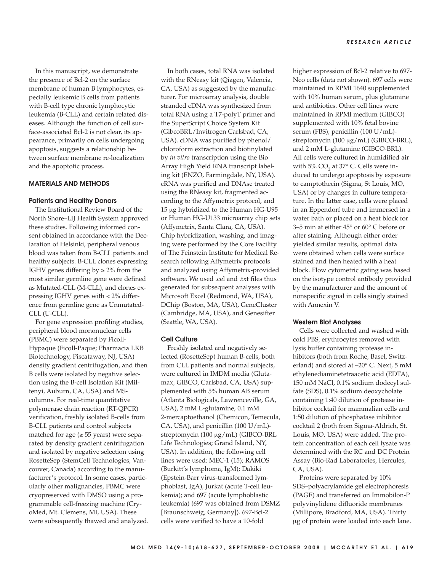In this manuscript, we demonstrate the presence of Bcl-2 on the surface membrane of human B lymphocytes, especially leukemic B cells from patients with B-cell type chronic lymphocytic leukemia (B-CLL) and certain related diseases. Although the function of cell surface-associated Bcl-2 is not clear, its appearance, primarily on cells undergoing apoptosis, suggests a relationship between surface membrane re-localization and the apoptotic process.

## MATERIALS AND METHODS

## Patients and Healthy Donors

The Institutional Review Board of the North Shore–LIJ Health System approved these studies. Following informed consent obtained in accordance with the Declaration of Helsinki, peripheral venous blood was taken from B-CLL patients and healthy subjects. B-CLL clones expressing IGHV genes differing by  $\geq 2\%$  from the most similar germline gene were defined as Mutated-CLL (M-CLL), and clones expressing IGHV genes with < 2% difference from germline gene as Unmutated-CLL (U-CLL).

For gene expression profiling studies, peripheral blood mononuclear cells (PBMC) were separated by Ficoll-Hypaque (Ficoll-Paque; Pharmacia LKB Biotechnology, Piscataway, NJ, USA) density gradient centrifugation, and then B cells were isolated by negative selection using the B-cell Isolation Kit (Miltenyi, Auburn, CA, USA) and MScolumns. For real-time quantitative polymerase chain reaction (RT-QPCR) verification, freshly isolated B-cells from B-CLL patients and control subjects matched for age  $(≥ 55 years)$  were separated by density gradient centrifugation and isolated by negative selection using RosetteSep (StemCell Technologies, Vancouver, Canada) according to the manufacturer's protocol. In some cases, particularly other malignancies, PBMC were cryopreserved with DMSO using a programmable cell-freezing machine (CryoMed, Mt. Clemens, MI, USA). These were subsequently thawed and analyzed.

In both cases, total RNA was isolated with the RNeasy kit (Qiagen, Valencia, CA, USA) as suggested by the manufacturer. For microarray analysis, double stranded cDNA was synthesized from total RNA using a T7-polyT primer and the SuperScript Choice System Kit (GibcoBRL/Invitrogen Carlsbad, CA, USA). cDNA was purified by phenol/ chloroform extraction and biotinylated by *in vitro* transcription using the Bio Array High Yield RNA transcript labeling kit (ENZO, Farmingdale, NY, USA). cRNA was purified and DNAse treated using the RNeasy kit, fragmented according to the Affymetrix protocol, and 15 []g hybridized to the Human HG-U95 or Human HG-U133 microarray chip sets (Affymetrix, Santa Clara, CA, USA). Chip hybridization, washing, and imaging were performed by the Core Facility of The Feinstein Institute for Medical Research following Affymetrix protocols and analyzed using Affymetrix-provided software. We used .cel and .txt files thus generated for subsequent analyses with Microsoft Excel (Redmond, WA, USA), DChip (Boston, MA, USA), GeneCluster (Cambridge, MA, USA), and Genesifter (Seattle, WA, USA).

## Cell Culture

Freshly isolated and negatively selected (RosetteSep) human B-cells, both from CLL patients and normal subjects, were cultured in IMDM media (Glutamax, GIBCO, Carlsbad, CA, USA) supplemented with 5% human AB serum (Atlanta Biologicals, Lawrenceville, GA, USA), 2 mM L-glutamine, 0.1 mM 2-mercaptoethanol (Chemicon, Temecula, CA, USA), and penicillin  $(100 \text{ U/mL})$ streptomycin (100  $\lg$ /mL) (GIBCO-BRL Life Technologies; Grand Island, NY, USA). In addition, the following cell lines were used: MEC-1 (15); RAMOS (Burkitt's lymphoma, IgM); Dakiki (Epstein-Barr virus-transformed lymphoblast, IgA), Jurkat (acute T-cell leukemia); and 697 (acute lymphoblastic leukemia) (697 was obtained from DSMZ [Braunschweig, Germany]). 697-Bcl-2 cells were verified to have a 10-fold

higher expression of Bcl-2 relative to 697- Neo cells (data not shown). 697 cells were maintained in RPMI 1640 supplemented with 10% human serum, plus glutamine and antibiotics. Other cell lines were maintained in RPMI medium (GIBCO) supplemented with 10% fetal bovine serum (FBS), penicillin (100 U/mL) streptomycin (100  $\sqrt{g/mL}$ ) (GIBCO-BRL), and 2 mM L-glutamine (GIBCO-BRL). All cells were cultured in humidified air with 5%  $\text{CO}_2$  at 37° C. Cells were induced to undergo apoptosis by exposure to camptothecin (Sigma, St Louis, MO, USA) or by changes in culture temperature. In the latter case, cells were placed in an Eppendorf tube and immersed in a water bath or placed on a heat block for 3–5 min at either 45° or 60° C before or after staining. Although either order yielded similar results, optimal data were obtained when cells were surface stained and then heated with a heat block. Flow cytometric gating was based on the isotype control antibody provided by the manufacturer and the amount of nonspecific signal in cells singly stained with Annexin V.

## Western Blot Analyses

Cells were collected and washed with cold PBS, erythrocytes removed with lysis buffer containing protease inhibitors (both from Roche, Basel, Switzerland) and stored at –20° C. Next, 5 mM ethylenediaminetetraacetic acid (EDTA), 150 mM NaCl, 0.1% sodium dodecyl sulfate (SDS), 0.1% sodium deoxycholate containing 1:40 dilution of protease inhibitor cocktail for mammalian cells and 1:50 dilution of phosphatase inhibitor cocktail 2 (both from Sigma-Aldrich, St. Louis, MO, USA) were added. The protein concentration of each cell lysate was determined with the RC and DC Protein Assay (Bio-Rad Laboratories, Hercules, CA, USA).

Proteins were separated by 10% SDS–polyacrylamide gel electrophoresis (PAGE) and transferred on Immobilon-P polyvinylidene difluoride membranes (Millipore, Bradford, MA, USA). Thirty □g of protein were loaded into each lane.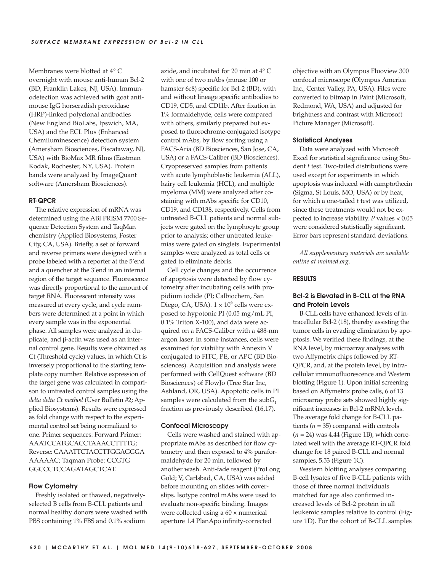Membranes were blotted at 4° C overnight with mouse anti-human Bcl-2 (BD, Franklin Lakes, NJ, USA). Immunodetection was achieved with goat antimouse IgG horseradish peroxidase (HRP)-linked polyclonal antibodies (New England BioLabs, Ipswich, MA, USA) and the ECL Plus (Enhanced Chemiluminescence) detection system (Amersham Biosciences, Piscataway, NJ, USA) with BioMax MR films (Eastman Kodak, Rochester, NY, USA). Protein bands were analyzed by ImageQuant software (Amersham Biosciences).

#### RT-QPCR

The relative expression of mRNA was determined using the ABI PRISM 7700 Sequence Detection System and TaqMan chemistry (Applied Biosystems, Foster City, CA, USA). Briefly, a set of forward and reverse primers were designed with a probe labeled with a reporter at the 5'end and a quencher at the 3'end in an internal region of the target sequence. Fluorescence was directly proportional to the amount of target RNA. Fluorescent intensity was measured at every cycle, and cycle numbers were determined at a point in which every sample was in the exponential phase. All samples were analyzed in duplicate, and β-actin was used as an internal control gene. Results were obtained as Ct (Threshold cycle) values, in which Ct is inversely proportional to the starting template copy number. Relative expression of the target gene was calculated in comparison to untreated control samples using the *delta delta Ct method* (User Bulletin #2; Applied Biosystems). Results were expressed as fold change with respect to the experimental control set being normalized to one. Primer sequences: Forward Primer: AAATCCATGCACCTAAACCTTTTG; Reverse: CAAATTCTACCTTGGAGGGA AAAAAC; Taqman Probe: CCGTG GGCCCTCCAGATAGCTCAT.

## Flow Cytometry

Freshly isolated or thawed, negativelyselected B cells from B-CLL patients and normal healthy donors were washed with PBS containing 1% FBS and 0.1% sodium

azide, and incubated for 20 min at 4° C with one of two mAbs (mouse 100 or hamster 6c8) specific for Bcl-2 (BD), with and without lineage specific antibodies to CD19, CD5, and CD11b. After fixation in 1% formaldehyde, cells were compared with others, similarly prepared but exposed to fluorochrome-conjugated isotype control mAbs, by flow sorting using a FACS-Aria (BD Biosciences, San Jose, CA, USA) or a FACS-Caliber (BD Biosciences). Cryopreserved samples from patients with acute lymphoblastic leukemia (ALL), hairy cell leukemia (HCL), and multiple myeloma (MM) were analyzed after costaining with mAbs specific for CD10, CD19, and CD138, respectively. Cells from untreated B-CLL patients and normal subjects were gated on the lymphocyte group prior to analysis; other untreated leukemias were gated on singlets. Experimental samples were analyzed as total cells or gated to eliminate debris.

Cell cycle changes and the occurrence of apoptosis were detected by flow cytometry after incubating cells with propidium iodide (PI; Calbiochem, San Diego, CA, USA).  $1 \times 10^6$  cells were exposed to hypotonic PI (0.05 mg/mL PI, 0.1% Triton X-100), and data were acquired on a FACS-Caliber with a 488-nm argon laser. In some instances, cells were examined for viability with Annexin V conjugated to FITC, PE, or APC (BD Biosciences). Acquisition and analysis were performed with CellQuest software (BD Biosciences) of FlowJo (Tree Star Inc, Ashland, OR, USA). Apoptotic cells in PI samples were calculated from the  $subG<sub>1</sub>$ fraction as previously described (16,17).

#### Confocal Microscopy

Cells were washed and stained with appropriate mAbs as described for flow cytometry and then exposed to 4% paraformaldehyde for 20 min, followed by another wash. Anti-fade reagent (ProLong Gold; V, Carlsbad, CA, USA) was added before mounting on slides with coverslips. Isotype control mAbs were used to evaluate non-specific binding. Images were collected using a 60 × numerical aperture 1.4 PlanApo infinity-corrected

objective with an Olympus Fluoview 300 confocal microscope (Olympus America Inc., Center Valley, PA, USA). Files were converted to bitmap in Paint (Microsoft, Redmond, WA, USA) and adjusted for brightness and contrast with Microsoft Picture Manager (Microsoft).

#### Statistical Analyses

Data were analyzed with Microsoft Excel for statistical significance using Student *t* test. Two-tailed distributions were used except for experiments in which apoptosis was induced with camptothecin (Sigma, St Louis, MO, USA) or by heat, for which a one-tailed *t* test was utilized, since these treatments would not be expected to increase viability. *P* values < 0.05 were considered statistically significant. Error bars represent standard deviations.

*All supplementary materials are available online at molmed*.*org*.

## RESULTS

## Bcl-2 is Elevated in B-CLL at the RNA and Protein Levels

B-CLL cells have enhanced levels of intracellular Bcl-2 (18), thereby assisting the tumor cells in evading elimination by apoptosis. We verified these findings, at the RNA level, by microarray analyses with two Affymetrix chips followed by RT-QPCR, and, at the protein level, by intracellular immunofluorescence and Western blotting (Figure 1). Upon initial screening based on Affymetrix probe calls, 6 of 13 microarray probe sets showed highly significant increases in Bcl-2 mRNA levels. The average fold change for B-CLL patients  $(n = 35)$  compared with controls (*n* = 24) was 4.44 (Figure 1B), which correlated well with the average RT-QPCR fold change for 18 paired B-CLL and normal samples, 5.53 (Figure 1C).

Western blotting analyses comparing B-cell lysates of five B-CLL patients with those of three normal individuals matched for age also confirmed increased levels of Bcl-2 protein in all leukemic samples relative to control (Figure 1D). For the cohort of B-CLL samples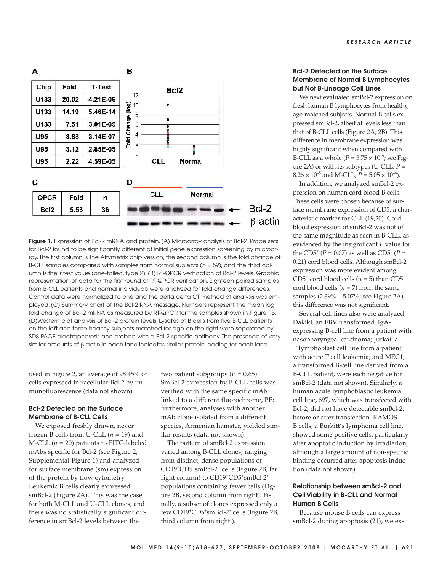

Figure 1. Expression of Bcl-2 mRNA and protein. (A) Microarray analysis of Bcl-2. Probe sets for Bcl-2 found to be significantly different at initial gene expression screening by microarray. The first column is the Affymetrix chip version, the second column is the fold change of B-CLL samples compared with samples from normal subjects ( $n = 59$ ), and the third column is the t test value (one-tailed, type 2). (B) RT-QPCR verification of Bcl-2 levels. Graphic representation of data for the first round of RT-QPCR verification. Eighteen paired samples from B-CLL patients and normal individuals were analyzed for fold change differences. Control data were normalized to one and the delta delta CT method of analysis was employed. (C) Summary chart of the Bcl-2 RNA message. Numbers represent the mean log fold change of Bcl-2 mRNA as measured by RT-QPCR for the samples shown in Figure 1B. (D)Western blot analysis of Bcl-2 protein levels. Lysates of B cells from five B-CLL patients on the left and three healthy subjects matched for age on the right were separated by SDS-PAGE electrophoresis and probed with a Bcl-2-specific antibody. The presence of very similar amounts of β actin in each lane indicates similar protein loading for each lane.

used in Figure 2, an average of 98.45% of cells expressed intracellular Bcl-2 by immunofluorescence (data not shown).

# Bcl-2 Detected on the Surface Membrane of B-CLL Cells

We exposed freshly drawn, never frozen B cells from U-CLL  $(n = 19)$  and M-CLL  $(n = 20)$  patients to FITC-labeled mAbs specific for Bcl-2 (see Figure 2, Supplemental Figure 1) and analyzed for surface membrane (sm) expression of the protein by flow cytometry. Leukemic B cells clearly expressed smBcl-2 (Figure 2A). This was the case for both M-CLL and U-CLL clones, and there was no statistically significant difference in smBcl-2 levels between the

two patient subgroups ( $P = 0.65$ ). SmBcl-2 expression by B-CLL cells was verified with the same specific mAb linked to a different fluorochrome, PE; furthermore, analyses with another mAb clone isolated from a different species, Armenian hamster, yielded similar results (data not shown).

The pattern of smBcl-2 expression varied among B-CLL clones, ranging from distinct, dense populations of CD19<sup>+</sup>CD5<sup>+</sup> smBcl-2<sup>+</sup> cells (Figure 2B, far right column) to CD19<sup>+</sup>CD5<sup>+</sup>smBcl-2<sup>+</sup> populations containing fewer cells (Figure 2B, second column from right). Finally, a subset of clones expressed only a few CD19<sup>+</sup>CD5<sup>+</sup>smBcl-2<sup>+</sup> cells (Figure 2B, third column from right ).

# Bcl-2 Detected on the Surface Membrane of Normal B Lymphocytes but Not B-Lineage Cell Lines

We next evaluated smBcl-2 expression on fresh human B lymphocytes from healthy, age-matched subjects. Normal B cells expressed smBcl-2, albeit at levels less than that of B-CLL cells (Figure 2A, 2B). This difference in membrane expression was highly significant when compared with B-CLL as a whole  $(P = 3.75 \times 10^{-6})$ ; see Figure 2A) or with its subtypes (U-CLL, *P* =  $8.26 \times 10^{-5}$  and M-CLL,  $P = 5.05 \times 10^{-6}$ ).

In addition, we analyzed smBcl-2 expression on human cord blood B cells. These cells were chosen because of surface membrane expression of CD5, a characteristic marker for CLL (19,20). Cord blood expression of smBcl-2 was not of the same magnitude as seen in B-CLL, as evidenced by the insignificant *P* value for the CD5<sup>+</sup> ( $P = 0.07$ ) as well as CD5<sup>-</sup> ( $P =$ 0.21) cord blood cells. Although smBcl-2 expression was more evident among CD5<sup>+</sup> cord blood cells ( $n = 5$ ) than CD5<sup>-</sup> cord blood cells  $(n = 7)$  from the same samples (2.39% – 5.07%; see Figure 2A), this difference was not significant.

Several cell lines also were analyzed. Dakiki, an EBV transformed, IgAexpressing B-cell line from a patient with nasopharyngeal carcinoma; Jurkat, a T lymphoblast cell line from a patient with acute T cell leukemia; and MEC1, a transformed B-cell line derived from a B-CLL patient, were each negative for smBcl-2 (data not shown). Similarly, a human acute lymphoblastic leukemia cell line, 697, which was transfected with Bcl-2, did not have detectable smBcl-2, before or after transfection. RAMOS B cells, a Burkitt's lymphoma cell line, showed some positive cells, particularly after apoptotic induction by irradiation, although a large amount of non-specific binding occurred after apoptosis induction (data not shown).

# Relationship between smBcl-2 and Cell Viability in B-CLL and Normal Human B Cells

Because mouse B cells can express smBcl-2 during apoptosis (21), we ex-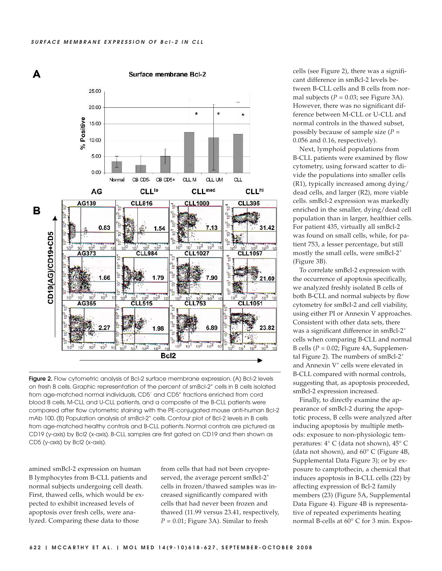

Figure 2. Flow cytometric analysis of Bcl-2 surface membrane expression. (A) Bcl-2 levels on fresh B cells. Graphic representation of the percent of smBcl-2<sup>+</sup> cells in B cells isolated from age-matched normal individuals, CD5– and CD5<sup>+</sup> fractions enriched from cord blood B cells, M-CLL and U-CLL patients, and a composite of the B-CLL patients were compared after flow cytometric staining with the PE-conjugated mouse anti-human Bcl-2 mAb 100. (B) Population analysis of smBcl-2<sup>+</sup> cells. Contour plot of Bcl-2 levels in B cells from age-matched healthy controls and B-CLL patients. Normal controls are pictured as CD19 (y-axis) by Bcl2 (x-axis). B-CLL samples are first gated on CD19 and then shown as CD5 (y-axis) by Bcl2 (x-axis).

amined smBcl-2 expression on human B lymphocytes from B-CLL patients and normal subjects undergoing cell death. First, thawed cells, which would be expected to exhibit increased levels of apoptosis over fresh cells, were analyzed. Comparing these data to those

from cells that had not been cryopreserved, the average percent smBcl-2<sup>+</sup> cells in frozen/thawed samples was increased significantly compared with cells that had never been frozen and thawed (11.99 versus 23.41, respectively,  $P = 0.01$ ; Figure 3A). Similar to fresh

cells (see Figure 2), there was a significant difference in smBcl-2 levels between B-CLL cells and B cells from normal subjects  $(P = 0.03)$ ; see Figure 3A). However, there was no significant difference between M-CLL or U-CLL and normal controls in the thawed subset, possibly because of sample size (*P* = 0.056 and 0.16, respectively).

Next, lymphoid populations from B-CLL patients were examined by flow cytometry, using forward scatter to divide the populations into smaller cells (R1), typically increased among dying/ dead cells, and larger (R2), more viable cells. smBcl-2 expression was markedly enriched in the smaller, dying/dead cell population than in larger, healthier cells. For patient 435, virtually all smBcl-2 was found on small cells, while, for patient 753, a lesser percentage, but still mostly the small cells, were smBcl-2<sup>+</sup> (Figure 3B).

To correlate smBcl-2 expression with the occurrence of apoptosis specifically, we analyzed freshly isolated B cells of both B-CLL and normal subjects by flow cytometry for smBcl-2 and cell viability, using either PI or Annexin V approaches. Consistent with other data sets, there was a significant difference in smBcl-2<sup>+</sup> cells when comparing B-CLL and normal B cells (*P* = 0.02; Figure 4A, Supplemental Figure 2). The numbers of  $smBcl-2^+$ and Annexin V<sup>+</sup> cells were elevated in B-CLL compared with normal controls, suggesting that, as apoptosis proceeded, smBcl-2 expression increased.

Finally, to directly examine the appearance of smBcl-2 during the apoptotic process, B cells were analyzed after inducing apoptosis by multiple methods: exposure to non-physiologic temperatures: 4° C (data not shown), 45° C (data not shown), and 60° C (Figure 4B, Supplemental Data Figure 3); or by exposure to camptothecin, a chemical that induces apoptosis in B-CLL cells (22) by affecting expression of Bcl-2 family members (23) (Figure 5A, Supplemental Data Figure 4). Figure 4B is representative of repeated experiments heating normal B-cells at 60° C for 3 min. Expos-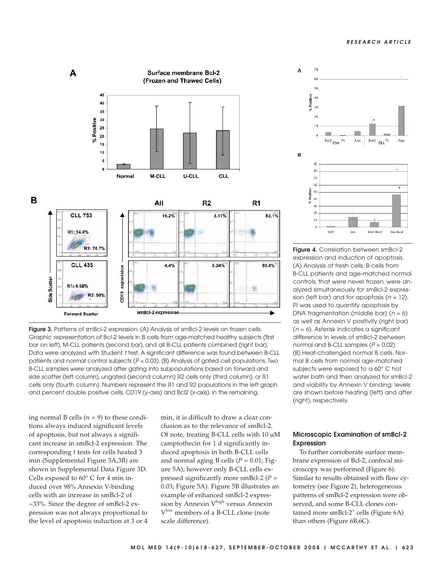#### RESEARCH ARTICLE



Figure 3. Patterns of smBcl-2 expression. (A) Analysis of smBcl-2 levels on frozen cells. Graphic representation of Bcl-2 levels in B cells from age-matched healthy subjects (first bar on left), M-CLL patients (second bar), and all B-CLL patients combined (right bar). Data were analyzed with Student t test. A significant difference was found between B-CLL patients and normal control subjects (P < 0.03). (B) Analysis of gated cell populations. Two B-CLL samples were analyzed after gating into subpopulations based on forward and side scatter (left column), ungated (second column) R2 cells only (third column), or R1 cells only (fourth column). Numbers represent the R1 and R2 populations in the left graph and percent double positive cells, CD19 (y-axis) and Bcl2 (x-axis), in the remaining.

ing normal B cells  $(n = 9)$  to these conditions always induced significant levels of apoptosis, but not always a significant increase in smBcl-2 expression. The corresponding *t* tests for cells heated 3 min (Supplemental Figure 3A,3B) are shown in Supplemental Data Figure 3D. Cells exposed to 60° C for 4 min induced over 98% Annexin V-binding cells with an increase in smBcl-2 of ~33%. Since the degree of smBcl-2 expression was not always proportional to the level of apoptosis induction at 3 or 4

min, it is difficult to draw a clear conclusion as to the relevance of smBcl-2. Of note, treating B-CLL cells with 10 [M camptothecin for 1 d significantly induced apoptosis in both B-CLL cells and normal aging B cells ( $P = 0.01$ ; Figure 5A); however only B-CLL cells expressed significantly more smBcl-2 (*P* = 0.03; Figure 5A). Figure 5B illustrates an example of enhanced smBcl-2 expression by Annexin V<sup>high</sup> versus Annexin V<sup>low</sup> members of a B-CLL clone (note scale difference).



Figure 4. Correlation between smBcl-2 expression and induction of apoptosis. (A) Analysis of fresh cells. B-cells from B-CLL patients and age-matched normal controls, that were never frozen, were analyzed simultaneously for smBcl-2 expression (left bar) and for apoptosis ( $n = 12$ ). PI was used to quantify apoptosis by DNA fragmentation (middle bar)  $(n = 6)$ as well as Annexin V positivity (right bar)  $(n = 6)$ . Asterisk indicates a significant difference in levels of smBcl-2 between normal and B-CLL samples  $(P = 0.02)$ . (B) Heat-challenged normal B cells. Normal B cells from normal age-matched subjects were exposed to a 60° C hot water bath and then analyzed for smBcl-2 and viability by Annexin V binding; levels are shown before heating (left) and after (right), respectively.

# Microscopic Examination of smBcl-2 Expression

To further corroborate surface membrane expression of Bcl-2, confocal microscopy was performed (Figure 6). Similar to results obtained with flow cytometry (see Figure 2), heterogeneous patterns of smBcl-2 expression were observed, and some B-CLL clones contained more smBcl-2<sup>+</sup> cells (Figure 6A) than others (Figure 6B,6C).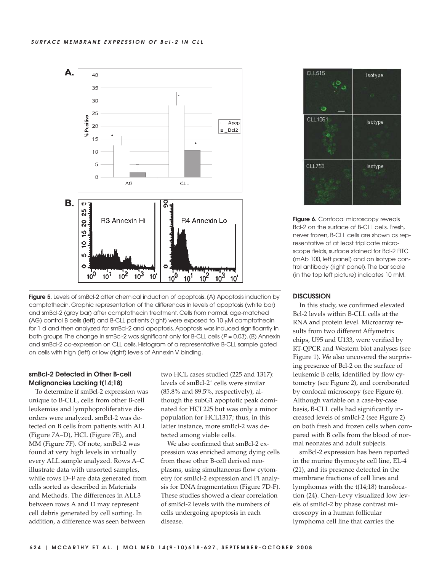



# smBcl-2 Detected in Other B-cell Malignancies Lacking t(14;18)

To determine if smBcl-2 expression was unique to B-CLL, cells from other B-cell leukemias and lymphoproliferative disorders were analyzed. smBcl-2 was detected on B cells from patients with ALL (Figure 7A–D), HCL (Figure 7E), and MM (Figure 7F). Of note, smBcl-2 was found at very high levels in virtually every ALL sample analyzed. Rows A–C illustrate data with unsorted samples, while rows D–F are data generated from cells sorted as described in Materials and Methods. The differences in ALL3 between rows A and D may represent cell debris generated by cell sorting. In addition, a difference was seen between

two HCL cases studied (225 and 1317): levels of smBcl-2<sup>+</sup> cells were similar (85.8% and 89.5%, respectively), although the subG1 apoptotic peak dominated for HCL225 but was only a minor population for HCL1317; thus, in this latter instance, more smBcl-2 was detected among viable cells.

We also confirmed that smBcl-2 expression was enriched among dying cells from these other B-cell derived neoplasms, using simultaneous flow cytometry for smBcl-2 expression and PI analysis for DNA fragmentation (Figure 7D-F). These studies showed a clear correlation of smBcl-2 levels with the numbers of cells undergoing apoptosis in each disease.



Figure 6. Confocal microscopy reveals Bcl-2 on the surface of B-CLL cells. Fresh, never frozen, B-CLL cells are shown as representative of at least triplicate microscope fields, surface stained for Bcl-2 FITC (mAb 100, left panel) and an isotype control antibody (right panel). The bar scale (in the top left picture) indicates 10 mM.

## **DISCUSSION**

In this study, we confirmed elevated Bcl-2 levels within B-CLL cells at the RNA and protein level. Microarray results from two different Affymetrix chips, U95 and U133, were verified by RT-QPCR and Western blot analyses (see Figure 1). We also uncovered the surprising presence of Bcl-2 on the surface of leukemic B cells, identified by flow cytometry (see Figure 2), and corroborated by confocal microscopy (see Figure 6). Although variable on a case-by-case basis, B-CLL cells had significantly increased levels of smBcl-2 (see Figure 2) on both fresh and frozen cells when compared with B cells from the blood of normal neonates and adult subjects.

smBcl-2 expression has been reported in the murine thymocyte cell line, EL-4 (21), and its presence detected in the membrane fractions of cell lines and lymphomas with the t(14;18) translocation (24). Chen-Levy visualized low levels of smBcl-2 by phase contrast microscopy in a human follicular lymphoma cell line that carries the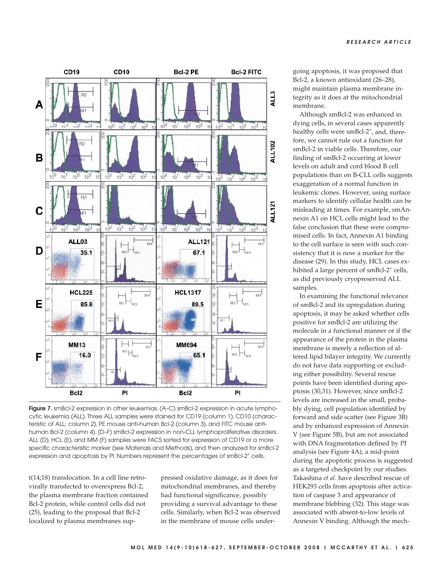

Figure 7. smBcl-2 expression in other leukemias. (A-C) smBcl-2 expression in acute lymphocytic leukemia (ALL). Three ALL samples were stained for CD19 (column 1), CD10 (characteristic of ALL; column 2), PE mouse anti-human Bcl-2 (column 3), and FITC mouse antihuman Bcl-2 (column 4). (D–F) smBcl-2 expression in non-CLL lymphoproliferative disorders. ALL (D), HCL (E), and MM (F) samples were FACS sorted for expression of CD19 or a more specific characteristic marker (see Materials and Methods), and then analyzed for smBcl-2 expression and apoptosis by PI. Numbers represent the percentages of smBcl-2<sup>+</sup> cells.

t(14;18) translocation. In a cell line retrovirally transfected to overexpress Bcl-2, the plasma membrane fraction contained Bcl-2 protein, while control cells did not (25), leading to the proposal that Bcl-2 localized to plasma membranes suppressed oxidative damage, as it does for mitochondrial membranes, and thereby had functional significance, possibly providing a survival advantage to these cells. Similarly, when Bcl-2 was observed in the membrane of mouse cells undergoing apoptosis, it was proposed that Bcl-2, a known antioxidant (26–28), might maintain plasma membrane integrity as it does at the mitochondrial membrane.

Although smBcl-2 was enhanced in dying cells, in several cases apparently healthy cells were smBcl-2<sup>+</sup>, and, therefore, we cannot rule out a function for smBcl-2 in viable cells. Therefore, our finding of smBcl-2 occurring at lower levels on adult and cord blood B cell populations than on B-CLL cells suggests exaggeration of a normal function in leukemic clones. However, using surface markers to identify cellular health can be misleading at times. For example, smAnnexin A1 on HCL cells might lead to the false conclusion that these were compromised cells. In fact, Annexin A1 binding to the cell surface is seen with such consistency that it is now a marker for the disease (29). In this study, HCL cases exhibited a large percent of smBcl-2<sup>+</sup> cells, as did previously cryopreserved ALL samples.

In examining the functional relevance of smBcl-2 and its upregulation during apoptosis, it may be asked whether cells positive for smBcl-2 are utilizing the molecule in a functional manner or if the appearance of the protein in the plasma membrane is merely a reflection of altered lipid bilayer integrity. We currently do not have data supporting or excluding either possibility. Several rescue points have been identified during apoptosis (30,31). However, since smBcl-2 levels are increased in the small, probably dying, cell population identified by forward and side scatter (see Figure 3B) and by enhanced expression of Annexin V (see Figure 5B), but are not associated with DNA fragmentation defined by PI analysis (see Figure 4A), a mid-point during the apoptotic process is suggested as a targeted checkpoint by our studies. Takashina *et al*. have described rescue of HEK293 cells from apoptosis after activation of caspase 3 and appearance of membrane blebbing (32). This stage was associated with absent-to-low levels of Annexin V binding. Although the mech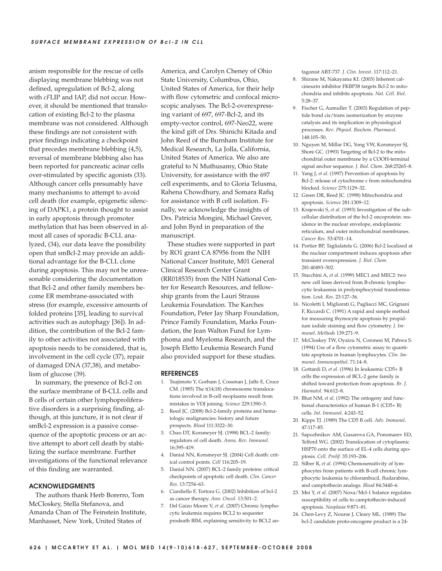anism responsible for the rescue of cells displaying membrane blebbing was not defined, upregulation of Bcl-2, along with *cF*LIP and IAP, did not occur. However, it should be mentioned that translocation of existing Bcl-2 to the plasma membrane was not considered. Although these findings are not consistent with prior findings indicating a checkpoint that precedes membrane blebbing (4,5), reversal of membrane blebbing also has been reported for pancreatic acinar cells over-stimulated by specific agonists (33). Although cancer cells presumably have many mechanisms to attempt to avoid cell death (for example, epigenetic silencing of DAPK1, a protein thought to assist in early apoptosis through promoter methylation that has been observed in almost all cases of sporadic B-CLL analyzed, (34), our data leave the possibility open that smBcl-2 may provide an additional advantage for the B-CLL clone during apoptosis. This may not be unreasonable considering the documentation that Bcl-2 and other family members become ER membrane-associated with stress (for example, excessive amounts of folded proteins [35], leading to survival activities such as autophagy [36]). In addition, the contribution of the Bcl-2 family to other activities not associated with apoptosis needs to be considered, that is, involvement in the cell cycle (37), repair of damaged DNA (37,38), and metabolism of glucose (39).

In summary, the presence of Bcl-2 on the surface membrane of B-CLL cells and B cells of certain other lymphoproliferative disorders is a surprising finding, although, at this juncture, it is not clear if smBcl-2 expression is a passive consequence of the apoptotic process or an active attempt to abort cell death by stabilizing the surface membrane. Further investigations of the functional relevance of this finding are warranted.

## ACKNOWLEDGMENTS

The authors thank Herb Borerro, Tom McCloskey, Stella Stefanova, and Amanda Chan of The Feinstein Institute, Manhasset, New York, United States of

America, and Carolyn Cheney of Ohio State University, Columbus, Ohio, United States of America, for their help with flow cytometric and confocal microscopic analyses. The Bcl-2-overexpressing variant of 697, 697-Bcl-2, and its empty-vector control, 697-Neo22, were the kind gift of Drs. Shinichi Kitada and John Reed of the Burnham Institute for Medical Research, La Jolla, California, United States of America. We also are grateful to N Muthusamy, Ohio State University, for assistance with the 697 cell experiments, and to Gloria Telusma, Rahena Chowdhury, and Somara Rafiq for assistance with B cell isolation. Finally, we acknowledge the insights of Drs. Patricia Mongini, Michael Grever, and John Byrd in preparation of the manuscript.

These studies were supported in part by RO1 grant CA 87956 from the NIH National Cancer Institute, M01 General Clinical Research Center Grant (RR018535) from the NIH National Center for Research Resources, and fellowship grants from the Lauri Strauss Leukemia Foundation. The Karches Foundation, Peter Jay Sharp Foundation, Prince Family Foundation, Marks Foundation, the Jean Walton Fund for Lymphoma and Myeloma Research, and the Joseph Eletto Leukemia Research Fund also provided support for these studies.

#### REFERENCES

- 1. Tsujimoto Y, Gorham J, Cossman J, Jaffe E, Croce CM. (1985) The t(14;18) chromosome translocations involved in B-cell neoplasms result from mistakes in VDJ joining. *Science* 229:1390–3.
- 2. Reed JC. (2008) Bcl-2-family proteins and hematologic malignancies: history and future prospects. *Blood* 111:3322–30.
- 3. Chao DT, Korsmeyer SJ. (1998) BCL-2 family: regulators of cell death. *Annu*. *Rev*. *Immunol*. 16:395–419.
- 4. Danial NN, Korsmeyer SJ. (2004) Cell death: critical control points. *Cell* 116:205–19.
- 5. Danial NN. (2007) BCL-2 family proteins: critical checkpoints of apoptotic cell death. *Clin*. *Cancer Res*. 13:7254–63.
- 6. Ciardiello F, Tortora G. (2002) Inhibition of bcl-2 as cancer therapy. *Ann*. *Oncol*. 13:501–2.
- 7. Del Gaizo Moore V, *et al*. (2007) Chronic lymphocytic leukemia requires BCL2 to sequester prodeath BIM, explaining sensitivity to BCL2 an-

tagonist ABT-737. *J*. *Clin*. *Invest*. 117:112–21.

- 8. Shirane M, Nakayama KI. (2003) Inherent calcineurin inhibitor FKBP38 targets Bcl-2 to mitochondria and inhibits apoptosis. *Nat*. *Cell*. *Biol*. 5:28–37.
- 9. Fischer G, Aumuller T. (2003) Regulation of peptide bond cis/trans isomerization by enzyme catalysis and its implication in physiological processes. *Rev*. *Physiol*. *Biochem*. *Pharmacol*. 148:105–50.
- 10. Nguyen M, Millar DG, Yong VW, Korsmeyer SJ, Shore GC. (1993) Targeting of Bcl-2 to the mitochondrial outer membrane by a COOH-terminal signal anchor sequence. *J*. *Biol*. *Chem*. 268:25265–8.
- 11. Yang J, *et al*. (1997) Prevention of apoptosis by Bcl-2: release of cytochrome c from mitochondria blocked. *Science* 275:1129–32.
- 12. Green DR, Reed JC. (1998) Mitochondria and apoptosis. *Science* 281:1309–12.
- 13. Krajewski S, *et al*. (1993) Investigation of the subcellular distribution of the bcl-2 oncoprotein: residence in the nuclear envelope, endoplasmic reticulum, and outer mitochondrial membranes. *Cancer Res*. 53:4701–14.
- 14. Portier BP, Taglialatela G. (2006) Bcl-2 localized at the nuclear compartment induces apoptosis after transient overexpression. *J*. *Biol*. *Chem*. 281:40493–502.
- 15. Stacchini A, *et al*. (1999) MEC1 and MEC2: two new cell lines derived from B-chronic lymphocytic leukaemia in prolymphocytoid transformation. *Leuk*. *Res*. 23:127–36.
- 16. Nicoletti I, Migliorati G, Pagliacci MC, Grignani F, Riccardi C. (1991) A rapid and simple method for measuring thymocyte apoptosis by propidium iodide staining and flow cytometry. *J*. *Immunol*. *Methods* 139:271–9.
- 17. McCloskey TW, Oyaizu N, Coronesi M, Pahwa S. (1994) Use of a flow cytometric assay to quantitate apoptosis in human lymphocytes. *Clin*. *Immunol*. *Immunopathol*. 71:14–8.
- 18. Gottardi D, *et al*. (1996) In leukaemic CD5+ B cells the expression of BCL-2 gene family is shifted toward protection from apoptosis. *Br*. *J*. *Haematol*. 94:612–8.
- 19. Bhat NM, *et al*. (1992) The ontogeny and functional characteristics of human B-1 (CD5+ B) cells. *Int*. *Immunol*. 4:243–52.
- 20. Kipps TJ. (1989) The CD5 B cell. *Adv*. *Immunol*. 47:117–85.
- 21. Sapozhnikov AM, Gusarova GA, Ponomarev ED, Telford WG. (2002) Translocation of cytoplasmic HSP70 onto the surface of EL-4 cells during apoptosis. *Cell*. *Prolif*. 35:193–206.
- 22. Silber R, *et al*. (1994) Chemosensitivity of lymphocytes from patients with B-cell chronic lymphocytic leukemia to chlorambucil, fludarabine, and camptothecin analogs. *Blood* 84:3440–6.
- 23. Mei Y, *et al*. (2007) Noxa/Mcl-1 balance regulates susceptibility of cells to camptothecin-induced apoptosis. *Neoplasia* 9:871–81.
- 24. Chen-Levy Z, Nourse J, Cleary ML. (1989) The bcl-2 candidate proto-oncogene product is a 24-